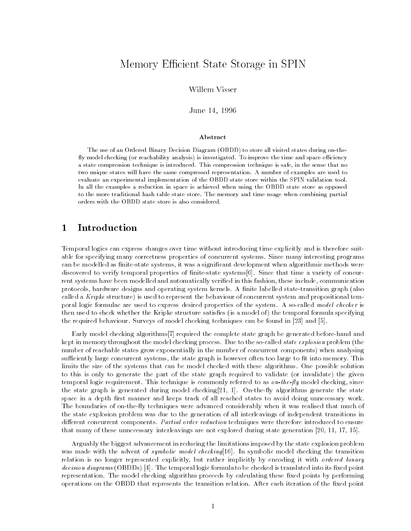# Memory Efficient State Storage in SPIN

Willem Visser

June 14, 1996

### Abstract

The use of an Ordered Binary Decision Diagram (OBDD) to store all visited states during on-the fly model checking (or reachability analysis) is investigated. To improve the time and space efficiency a state compression technique is introduced. This compression technique is safe, in the sense that no two unique states will have the same compressed representation. A number of examples are used to evaluate an experimental implementation of the OBDD state store within the SPIN validation tool. In all the examples a reduction in space is achieved when using the OBDD state store as opposed to the more traditional hash table state store. The memory and time usage when combining partial orders with the OBDD state store is also considered.

#### 1Introduction

Temporal logics can express changes over time without introducing time explicitly and is therefore suitable for specifying many correctness properties of concurrent systems. Since many interesting programs can be modelled as finite-state systems, it was a significant development when algorithmic methods were discovered to verify temporal properties of nite-state systems[6]. Since that time a variety of concurrent systems have been modelled and automatically veried in this fashion, these include, communication protocols, hardware designs and operating system kernels. A finite labelled state-transition graph (also called a Kripke structure) is used to represent the behaviour of concurrent system and propositional temporal logic formulae are used to express desired properties of the system. A so-called model checker is then used to check whether the Kripke structure satisfies (is a model of) the temporal formula specifying the required behaviour. Surveys of model checking techniques can be found in [23] and [5].

Early model checking algorithms[7] required the complete state graph be generated before-hand and kept in memory throughout the model checking process. Due to the so-called *state explosion* problem (the number of reachable states grow exponentially in the number of concurrent components) when analysing sufficiently large concurrent systems, the state graph is however often too large to fit into memory. This limits the size of the systems that can be model checked with these algorithms. One possible solution to this is only to generate the part of the state graph required to validate (or invalidate) the given temporal logic requirement. This technique is commonly referred to as  $\delta n$ -the-fly model checking, since the state graph is generated during model checking [21, 1]. On-the-fly algorithms generate the state space in a depth first manner and keeps track of all reached states to avoid doing unnecessary work. The boundaries of on-the-fly techniques were advanced considerably when it was realised that much of the state explosion problem was due to the generation of all interleavings of independent transitions in different concurrent components. Partial order reduction techniques were therefore introduced to ensure that many of these unnecessary interleavings are not explored during state generation [20, 11, 17, 15].

Arguably the biggest advancement in reducing the limitations imposed by the state explosion problem was made with the advent of *symbolic model checking*[16]. In symbolic model checking the transition relation is no longer represented explicitly, but rather implicitly by encoding it with *ordered binary* decision diagrams (OBDDs) [4]. The temporal logic formula to be checked is translated into its fixed point representation. The model checking algorithm proceeds by calculating these fixed points by performing operations on the OBDD that represents the transition relation. After each iteration of the fixed point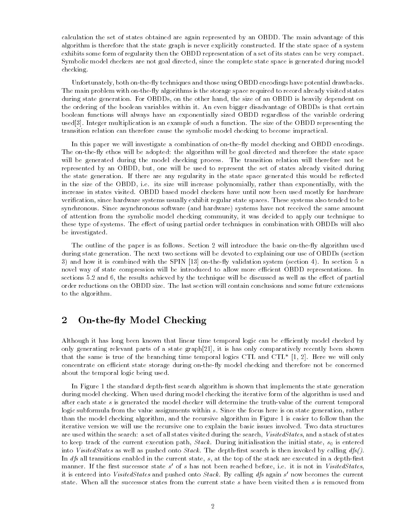calculation the set of states obtained are again represented by an OBDD. The main advantage of this algorithm is therefore that the state graph is never explicitly constructed. If the state space of a system exhibits some form of regularity then the OBDD representation of a set of its states can be very compact. Symbolic model checkers are not goal directed, since the complete state space is generated during model checking.

Unfortunately, both on-the-fly techniques and those using OBDD encodings have potential drawbacks. The main problem with on-the-fly algorithms is the storage space required to record already visited states during state generation. For OBDDs, on the other hand, the size of an OBDD is heavily dependent on the ordering of the boolean variables within it. An even bigger disadvantage of OBDDs is that certain boolean functions will always have an exponentially sized OBDD regardless of the variable ordering used[3]. Integer multiplication is an example of such a function. The size of the OBDD representing the transition relation can therefore cause the symbolic model checking to become impractical.

In this paper we will investigate a combination of on-the-fly model checking and OBDD encodings. The on-the-fly ethos will be adopted: the algorithm will be goal directed and therefore the state space will be generated during the model checking process. The transition relation will therefore not be represented by an OBDD, but, one will be used to represent the set of states already visited during the state generation. If there are any regularity in the state space generated this would be reflected in the size of the OBDD, i.e. its size will increase polynomially, rather than exponentially, with the increase in states visited. OBDD based model checkers have until now been used mostly for hardware verication, since hardware systems usually exhibit regular state spaces. These systems also tended to be synchronous. Since asynchronous software (and hardware) systems have not received the same amount of attention from the symbolic model checking community, it was decided to apply our technique to these type of systems. The effect of using partial order techniques in combination with OBDDs will also be investigated.

The outline of the paper is as follows. Section 2 will introduce the basic on-the-fly algorithm used during state generation. The next two sections will be devoted to explaining our use of OBDDs (section 3) and how it is combined with the SPIN  $[13]$  on-the-fly validation system (section 4). In section 5 a novel way of state compression will be introduced to allow more efficient OBDD representations. In sections 5.2 and 6, the results achieved by the technique will be discussed as well as the effect of partial order reductions on the OBDD size. The last section will contain conclusions and some future extensions to the algorithm.

#### 2On-the-fly Model Checking

Although it has long been known that linear time temporal logic can be efficiently model checked by only generating relevant parts of a state graph[21], it is has only comparatively recently been shown that the same is true of the branching time temporal logics CTL and CTL\*  $[1, 2]$ . Here we will only concentrate on efficient state storage during on-the-fly model checking and therefore not be concerned about the temporal logic being used.

In Figure 1 the standard depth-first search algorithm is shown that implements the state generation during model checking. When used during model checking the iterative form of the algorithm is used and after each state  $s$  is generated the model checker will determine the truth-value of the current temporal logic subformula from the value assignments within s. Since the focus here is on state generation, rather than the model checking algorithm, and the recursive algorithm in Figure 1 is easier to follow than the iterative version we will use the recursive one to explain the basic issues involved. Two data structures are used within the search: a set of all states visited during the search, VisitedStates, and a stack of states to keep track of the current execution path,  $Stack$ . During initialisation the initial state,  $s_0$  is entered into VisitedStates as well as pushed onto Stack. The depth-first search is then invoked by calling  $dfs()$ . In  $dfs$  all transitions enabled in the current state,  $s$ , at the top of the stack are executed in a depth-first manner. It the first successor state  $s$  of  $s$  has not been reached before, i.e. it is not in *VisitedStates*,  $\,$ it is entered into *VisitedStates* and pushed onto *Stack*. By calling *als* again  $s$  now becomes the current  $\overline{\phantom{a}}$ state. When all the successor states from the current state <sup>s</sup> have been visited then <sup>s</sup> is removed from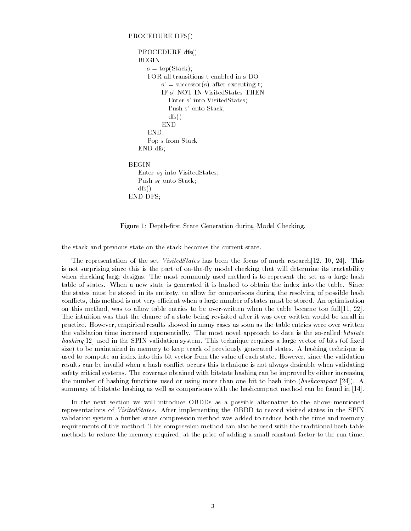### PROCEDURE DFS()

```
PROCEDURE dfs()
   BEGIN
     s = \text{top}(Stack);
      FOR all transitions t enabled in s DO
          s' = successor(s) after executing t;
          IF s' NOT IN VisitedStates THEN
             Enter s' into VisitedStates;
             Push s' onto Stack;
             dfs()
           END
      END;
      Pop s from Stack
   END dfs;
BEGIN
   Enter s_0 into VisitedStates;
   Push s_0 onto Stack;
   dfs()
END DFS;
```
Figure 1: Depth-first State Generation during Model Checking.

the stack and previous state on the stack becomes the current state.

The representation of the set VisitedStates has been the focus of much research[12, 10, 24]. This is not surprising since this is the part of on-the-fly model checking that will determine its tractability when checking large designs. The most commonly used method is to represent the set as a large hash table of states. When a new state is generated it is hashed to obtain the index into the table. Since the states must be stored in its entirety, to allow for comparisons during the resolving of possible hash conflicts, this method is not very efficient when a large number of states must be stored. An optimisation on this method, was to allow table entries to be over-written when the table became too full[11, 22]. The intuition was that the chance of a state being revisited after it was over-written would be small in practice. However, empirical results showed in many cases as soon as the table entries were over-written the validation time increased exponentially. The most novel approach to date is the so-called bitstate  $hashing[12]$  used in the SPIN validation system. This technique requires a large vector of bits (of fixed size) to be maintained in memory to keep track of previously generated states. A hashing technique is used to compute an index into this bit vector from the value of each state. However, since the validation results can be invalid when a hash conflict occurs this technique is not always desirable when validating safety critical systems. The coverage obtained with bitstate hashing can be improved by either increasing the number of hashing functions used or using more than one bit to hash into (hashcompact [24]). A summary of bitstate hashing as well as comparisons with the hashcompact method can be found in [14].

In the next section we will introduce OBDDs as a possible alternative to the above mentioned representations of *VisitedStates*. After implementing the OBDD to record visited states in the SPIN validation system a further state compression method was added to reduce both the time and memory requirements of this method. This compression method can also be used with the traditional hash table methods to reduce the memory required, at the price of adding a small constant factor to the run-time.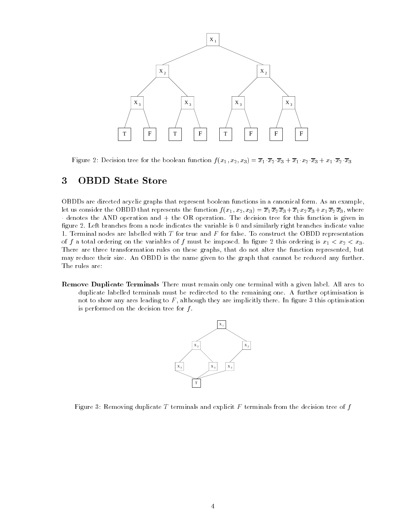

Figure 2: Decision tree for the boolean function  $f(x_1, x_2, x_3) = \overline{x}_1 \cdot \overline{x}_2 \cdot \overline{x}_3 + \overline{x}_1 \cdot x_2 \cdot \overline{x}_3 + x_1 \cdot \overline{x}_2 \cdot \overline{x}_3$ 

#### 3OBDD State Store

OBDDs are directed acyclic graphs that represent boolean functions in a canonical form. As an example, let us consider the OBDD that represents the function  $f(x_1, x_2, x_3) = \overline{x}_1 \overline{x}_2 \overline{x}_3 + \overline{x}_1 x_2 \overline{x}_3 + x_1 \overline{x}_2 \overline{x}_3$ , where denotes the AND operation and + the OR operation. The decision tree for this function is given in figure 2. Left branches from a node indicates the variable is 0 and similarly right branches indicate value 1. Terminal nodes are labelled with  $T$  for true and  $F$  for false. To construct the OBDD representation of f a total ordering on the variables of f must be imposed. In figure 2 this ordering is  $x_1 < x_2 < x_3$ . There are three transformation rules on these graphs, that do not alter the function represented, but may reduce their size. An OBDD is the name given to the graph that cannot be reduced any further. The rules are:

Remove Duplicate Terminals There must remain only one terminal with a given label. All arcs to duplicate labelled terminals must be redirected to the remaining one. A further optimisation is not to show any arcs leading to  $F$ , although they are implicitly there. In figure 3 this optimisation is performed on the decision tree for  $f$ .



Figure 3: Removing duplicate T terminals and explicit  $F$  terminals from the decision tree of  $f$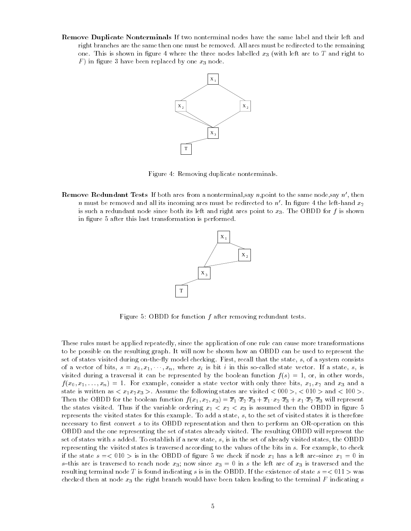Remove Duplicate Nonterminals If two nonterminal nodes have the same label and their left and right branches are the same then one must be removed. All arcs must be redirected to the remaining one. This is shown in figure 4 where the three nodes labelled  $x_3$  (with left arc to T and right to F ) in gure 3 have been replaced by one x3 node.



Figure 4: Removing duplicate nonterminals.

**Remove Redundant Tests** If both arcs from a nonterminal, say n, point to the same node, say  $n'$ , then  $\,n\,$  must be removed and all its incoming arcs must be redirected to  $\,n\,$  . In figure 4 the left-hand  $x_{\,2}$ is such a redundant node since both its left and right arcs point to  $x_3$ . The OBDD for f is shown in figure 5 after this last transformation is performed.



Figure 5: OBDD for function  $f$  after removing redundant tests.

These rules must be applied repeatedly, since the application of one rule can cause more transformations to be possible on the resulting graph. It will now be shown how an OBDD can be used to represent the set of states visited during on-the-fly model checking. First, recall that the state, s, of a system consists of a vector of bits,  $s = x_0, x_1, \dots, x_n$ , where  $x_i$  is bit i in this so-called state vector. If a state, s, is visited during a traversal it can be represented by the boolean function  $f(s) = 1$ , or, in other words,  $f(x_0,x_1,\ldots,x_n) = 1.$  For example, consider a state vector with only three bits,  $x_1,x_2$  and  $x_3$  and a state is written as  $\langle x_1x_2x_3 \rangle$ . Assume the following states are visited  $\langle 000 \rangle$ ,  $\langle 010 \rangle$  and  $\langle 100 \rangle$ . Then the OBDD for the boolean function  $f(x_1, x_2, x_3) = \overline{x}_1 \cdot \overline{x}_2 \cdot \overline{x}_3 + \overline{x}_1 \cdot x_2 \cdot \overline{x}_3 + x_1 \cdot \overline{x}_2 \cdot \overline{x}_3$  will represent the states visited. Thus if the variable ordering  $x_1 < x_2 < x_3$  is assumed then the OBDD in figure 5 represents the visited states for this example. To add a state, s, to the set of visited states it is therefore necessary to first convert  $s$  to its OBDD representation and then to perform an OR-operation on this OBDD and the one representing the set of states already visited. The resulting OBDD will represent the set of states with <sup>s</sup> added. To establish if a new state, s, is in the set of already visited states, the OBDD representing the visited states is traversed according to the values of the bits in s. For example, to check if the state  $s = 010$  > is in the OBDD of figure 5 we check if node  $x_1$  has a left arc-since  $x_1 = 0$  in s-this arc is traversed to reach node  $x_3$ ; now since  $x_3 = 0$  in s the left arc of  $x_3$  is traversed and the resulting terminal node T is found indicating s is in the OBDD. If the existence of state  $s = 0.01$   $>$  was checked then at node  $x_3$  the right branch would have been taken leading to the terminal F indicating s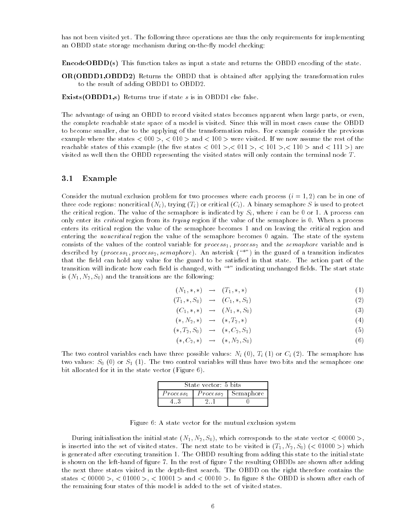has not been visited yet. The following three operations are thus the only requirements for implementing an OBDD state storage mechanism during on-the-fly model checking:

EncodeOBDD(s) This function takes as input a state and returns the OBDD encoding of the state.

OR(OBDD1,OBDD2) Returns the OBDD that is obtained after applying the transformation rules to the result of adding OBDD1 to OBDD2.

Exists(OBDD1,s) Returns true if state <sup>s</sup> is in OBDD1 else false.

The advantage of using an OBDD to record visited states becomes apparent when large parts, or even, the complete reachable state space of a model is visited. Since this will in most cases cause the OBDD to become smaller, due to the applying of the transformation rules. For example consider the previous example where the states  $< 000 > 0.010 > 0.010 > 0.010 > 0.010$  were visited. If we now assume the rest of the reachable states of this example (the five states  $< 001$  >,  $< 011$  >,  $< 101$  >,  $< 110$  > and  $< 111$  >) are visited as well then the OBDD representing the visited states will only contain the terminal node  $T$ .

#### 3.1Example

Consider the mutual exclusion problem for two processes where each process  $(i = 1, 2)$  can be in one of three code regions: noncritical  $(N_i)$ , trying  $(T_i)$  or critical  $(C_i)$ . A binary semaphore S is used to protect the critical region. The value of the semaphore is indicated by  $S_i$ , where i can be 0 or 1. A process can only enter its critical region from its trying region if the value of the semaphore is 0. When a process enters its critical region the value of the semaphore becomes 1 and on leaving the critical region and entering the *noncritical* region the value of the semaphore becomes 0 again. The state of the system consists of the values of the control variable for  $process_1$ ,  $process_2$  and the semaphore variable and is described by (*process*<sub>1</sub>, *process*<sub>2</sub>, *semaphore*). An asterisk ("\*") in the guard of a transition indicates that the field can hold any value for the guard to be satisfied in that state. The action part of the transition will indicate how each field is changed, with "\*" indicating unchanged fields. The start state is  $(N_1, N_2, S_0)$  and the transitions are the following:

$$
(N_1, \ast, \ast) \rightarrow (T_1, \ast, \ast) \tag{1}
$$

$$
(T_1,*,S_0) \rightarrow (C_1,*,S_1) \tag{2}
$$

$$
(C_1, \ast, \ast) \rightarrow (N_1, \ast, S_0) \tag{3}
$$

$$
(*, N_2, *) \rightarrow (*, T_2, *)
$$
\n
$$
(4)
$$

$$
(*,T_2,S_0) \rightarrow (*,C_2,S_1) \tag{5}
$$

$$
(*, C_2, *) \rightarrow (*, N_2, S_0) \tag{6}
$$

The two control variables each have three possible values:  $N_i(0)$ ,  $T_i(1)$  or  $C_i(2)$ . The semaphore has two values:  $S_0$  (0) or  $S_1$  (1). The two control variables will thus have two bits and the semaphore one bit allocated for it in the state vector (Figure 6).

| State vector: 5 bits |                      |           |  |  |  |  |
|----------------------|----------------------|-----------|--|--|--|--|
| Process <sub>1</sub> | Process <sub>2</sub> | Semaphore |  |  |  |  |
|                      |                      |           |  |  |  |  |

Figure 6: A state vector for the mutual exclusion system

During initialisation the initial state  $(N_1, N_2, S_0)$ , which corresponds to the state vector  $< 00000 >$ , is inserted into the set of visited states. The next state to be visited is  $(T_1, N_2, S_0)$  (< 01000 >) which is generated after executing transition 1. The OBDD resulting from adding this state to the initial state is shown on the left-hand of figure 7. In the rest of figure 7 the resulting OBDDs are shown after adding the next three states visited in the depth-first search. The OBDD on the right therefore contains the states  $<$  00000 >,  $<$  01000 >,  $<$  10001 > and  $<$  00010 >. In figure 8 the OBDD is shown after each of the remaining four states of this model is added to the set of visited states.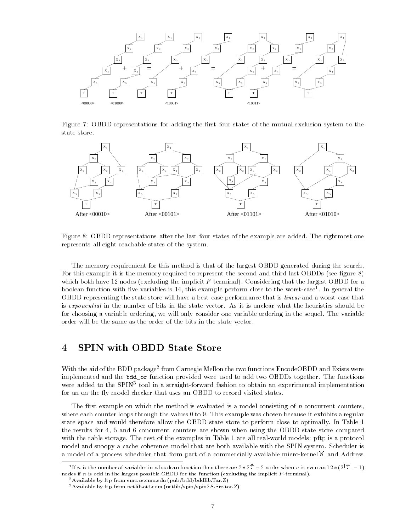

Figure 7: OBDD representations for adding the first four states of the mutual exclusion system to the state store.



Figure 8: OBDD representations after the last four states of the example are added. The rightmost one represents all eight reachable states of the system.

The memory requirement for this method is that of the largest OBDD generated during the search. For this example it is the memory required to represent the second and third last OBDDs (see figure 8) which both have 12 nodes (excluding the implicit  $F$ -terminal). Considering that the largest OBDD for a boolean function with five variables is 14, this example perform close to the worst-case\*. In general the the OBDD representing the state store will have a best-case performance that is linear and a worst-case that is exponential in the number of bits in the state vector. As it is unclear what the heuristics should be for choosing a variable ordering, we will only consider one variable ordering in the sequel. The variable order will be the same as the order of the bits in the state vector.

#### 4SPIN with OBDD State Store

With the aid of the BDD package<sup>-</sup> from Carnegie Mellon the two functions EncodeOBDD and Exists were the two fil implemented and the bdd\_or function provided were used to add two OBDDs together. The functions were added to the SPINT tool in a straight-forward fashion to obtain an experimental implementation for an on-the-fly model checker that uses an OBDD to record visited states.

The first example on which the method is evaluated is a model consisting of  $n$  concurrent counters, where each counter loops through the values 0 to 9. This example was chosen because it exhibits a regular state space and would therefore allow the OBDD state store to perform close to optimally. In Table 1 the results for 4, 5 and 6 concurrent counters are shown when using the OBDD state store compared with the table storage. The rest of the examples in Table 1 are all real-world models: pftp is a protocol model and snoopy a cache coherence model that are both available with the SPIN system. Scheduler is a model of a process scheduler that form part of a commercially available micro-kernel[8] and Address

<sup>&</sup>lt;sup>1</sup>If *n* is the number of variables in a boolean function then there are  $3 \times 2^{\frac{m}{2}} - 2$  nodes when *n* is even and  $2 \times (2^{\frac{m}{2}} - 1)$ nodes if <sup>n</sup> is odd in the largest possible OBDD for the function (excluding the implicit <sup>F</sup> -terminal).

<sup>2</sup>Available by ftp from emc.cs.cmu.edu (pub/bdd/bddlib.Tar.Z)

<sup>3</sup>Available by ftp from netlib.att.com (netlib/spin/spin2.8.Src.tar.Z)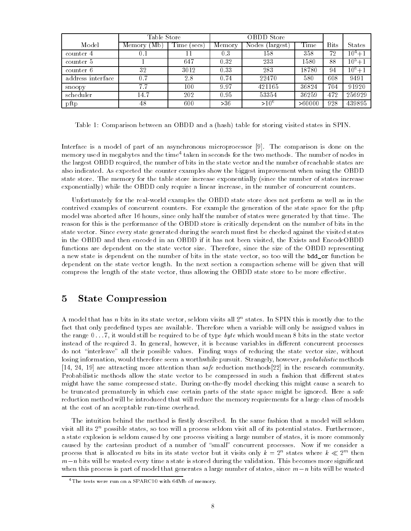|                   | Table Store    |                     | OBDD Store |                      |        |             |            |
|-------------------|----------------|---------------------|------------|----------------------|--------|-------------|------------|
| Model             | (Mb)<br>Memory | $\rm Time$<br>secs) | Memory     | Nodes (<br>(largest) | Time   | <b>Bits</b> | States     |
| counter 4         | 0.1            | 11                  | 0.3        | 158                  | 358    | 72          | $10^4 + 1$ |
| counter 5         |                | 647                 | 0.32       | 233                  | 1580   | 88          | $10^5 + 1$ |
| counter 6         | 32             | 3012                | 0.33       | 283                  | 18780  | 94          | $10^6 + 1$ |
| address interface | 0.7            | 2.8                 | 0.74       | 22470                | 580    | 608         | 9491       |
| snoopy            | 7.7            | 100                 | 9.97       | 421165               | 36824  | 704         | 91920      |
| scheduler         | 14.7           | 202                 | 0.95       | 53354                | 36259  | 472         | 256929     |
| pftp              | 48             | 600                 | >36        | $>10^{6}$            | >60000 | 928         | 439895     |

Table 1: Comparison between an OBDD and a (hash) table for storing visited states in SPIN.

Interface is a model of part of an asynchronous microprocessor [9]. The comparison is done on the memory used in megabytes and the time+taken in seconds for the two methods. The number of nodes in the m the largest OBDD required, the number of bits in the state vector and the number of reachable states are also indicated. As expected the counter examples show the biggest improvement when using the OBDD state store. The memory for the table store increase exponentially (since the number of states increase exponentially) while the OBDD only require a linear increase, in the number of concurrent counters.

Unfortunately for the real-world examples the OBDD state store does not perform as well as in the contrived examples of concurrent counters. For example the generation of the state space for the pftp model was aborted after 16 hours, since only half the number of states were generated by that time. The reason for this is the performance of the OBDD store is critically dependent on the number of bits in the state vector. Since every state generated during the search must first be checked against the visited states in the OBDD and then encoded in an OBDD if it has not been visited, the Exists and EncodeOBDD functions are dependent on the state vector size. Therefore, since the size of the OBDD representing a new state is dependent on the number of bits in the state vector, so too will the bdd\_or function be dependent on the state vector length. In the next section a compaction scheme will be given that will compress the length of the state vector, thus allowing the OBDD state store to be more effective.

#### 5State Compression

A model that has <sup>n</sup> bits in its state vector, seldom visits all 2n states. In SPIN this is mostly due to the fact that only predefined types are available. Therefore when a variable will only be assigned values in the range  $0 \ldots 7$ , it would still be required to be of type byte which would mean 8 bits in the state vector instead of the required 3. In general, however, it is because variables in different concurrent processes do not \interleave" all their possible values. Finding ways of reducing the state vector size, without losing information, would therefore seem a worthwhile pursuit. Strangely, however, *probabilistic* methods [14, 24, 19] are attracting more attention than safe reduction methods[22] in the research community. Probabilistic methods allow the state vector to be compressed in such a fashion that different states might have the same compressed state. During on-the-fly model checking this might cause a search to be truncated prematurely in which case certain parts of the state space might be ignored. Here a safe reduction method will be introduced that will reduce the memory requirements for a large class of models at the cost of an acceptable run-time overhead.

The intuition behind the method is firstly described. In the same fashion that a model will seldom visit all its  $2^n$  possible states, so too will a process seldom visit all of its potential states. Furthermore, a state explosion is seldom caused by one process visiting a large number of states, it is more commonly caused by the cartesian product of a number of "small" concurrent processes. Now if we consider a process that is ahocated m bits in its state vector but it visits only  $\kappa = 2^{\circ}$  states where  $\kappa \ll 2^{\circ}$  then  $m-n$  bits will be wasted every time a state is stored during the validation. This becomes more significant when this process is part of model that generates a large number of states, since  $m-n$  bits will be wasted

<sup>4</sup>The tests were run on a SPARC10 with 64Mb of memory.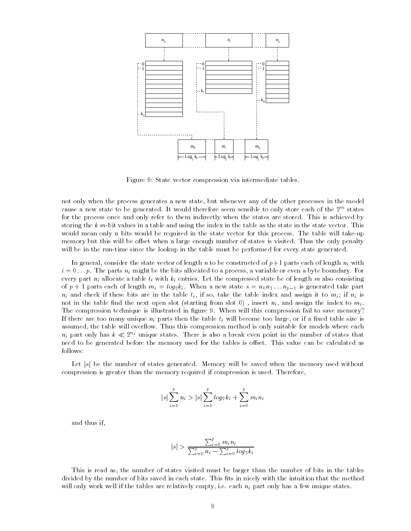

Figure 9: State vector compression via intermediate tables.

not only when the process generates a new state, but whenever any of the other processes in the model cause a new state to be generated. It would therefore seem sensible to only store each of the 2m states for the process once and only refer to them indirectly when the states are stored. This is achieved by storing the  $k$  m-bit values in a table and using the index in the table as the state in the state vector. This would mean only n bits would be required in the state vector for this process. The table will take-up memory but this will be offset when a large enough number of states is visited. Thus the only penalty will be in the run-time since the lookup in the table must be performed for every state generated.

In general, consider the state vector of length n to be constructed of  $p+1$  parts each of length  $n_i$  with  $i=0\ldots p$  . The parts  $n_i$  might be the bits allocated to a process, a variable or even a byte boundary. For every part  $n_i$  allocate a table  $t_i$  with  $k_i$  entries. Let the compressed state be of length m also consisting of  $p + 1$  parts each of length  $m_i = log_2 k_i$ . When a new state  $s = n_0 n_1 ... n_{p-1}$  is generated take part  $n_i$  and check if these bits are in the table  $t_i$ , if so, take the table index and assign it to  $m_i$ ; if  $n_i$  is not in the table find the next open slot (starting from slot 0), insert  $n_i$ , and assign the index to  $m_i$ . The compression technique is illustrated in figure 9. When will this compression fail to save memory? If there are too many unique  $n_i$  parts then the table  $t_i$  will become too large, or if a fixed table size is assumed, the table will overflow. Thus this compression method is only suitable for models where each  $n_i$  part only has  $k \ll 2^{n_i}$  unique states. There is also a break even point in the number of states that need to be generated before the memory used for the tables is offset. This value can be calculated as follows:

Let  $|s|$  be the number of states generated. Memory will be saved when the memory used without compression is greater than the memory required if compression is used. Therefore,

$$
|s| \sum_{i=0}^{p} n_i > |s| \sum_{i=0}^{p} log_2 k_i + \sum_{i=0}^{p} m_i n_i
$$

and thus if,

$$
|s| > \frac{\sum_{i=0}^{p} m_i n_i}{\sum_{i=0}^{p} n_i - \sum_{i=0}^{p} log_2 k_i}
$$

This is read as, the number of states visited must be larger than the number of bits in the tables divided by the number of bits saved in each state. This fits in nicely with the intuition that the method will only work well if the tables are relatively empty, i.e. each  $n_i$  part only has a few unique states.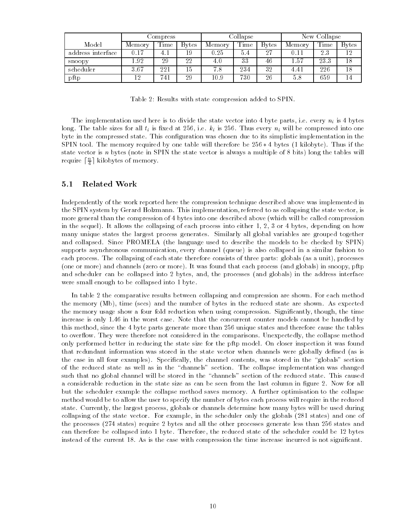|                   | Compress |      | Collapse      |        |      | New Collapse  |        |      |               |
|-------------------|----------|------|---------------|--------|------|---------------|--------|------|---------------|
| Model             | Memory   | Time | <b>B</b> ytes | Memory | Time | <b>B</b> ytes | Memory | Time | <b>B</b> vtes |
| address interface | 0.17     | 4.   | 19            | 0.25   | 5.4  | $27\,$        | 9.11   | 23   | 12            |
| snoopy            | 1.92     | 29   | 22            | 4.0    | 33   | 46            | 1.57   | 23.3 | 18            |
| scheduler         | 3.67     | 221  | 15            | 7.8    | 234  | 32            | 4.41   | 226  | 18            |
| pftp              | 12       | 741  | 29            | 10.9   | 730  | 26            | 5.8    | 659  | 14            |

Table 2: Results with state compression added to SPIN.

The implementation used here is to divide the state vector into 4 byte parts, i.e. every  $n_i$  is 4 bytes long. The table sizes for all  $t_i$  is fixed at 256, i.e.  $k_i$  is 256. Thus every  $n_i$  will be compressed into one byte in the compressed state. This configuration was chosen due to its simplistic implementation in the SPIN tool. The memory required by one table will therefore be  $256 * 4$  bytes (1 kilobyte). Thus if the state vector is <sup>n</sup> bytes (note in SPIN the state vector is always a multiple of 8 bits) long the tables will require  $\lfloor \frac{\ldots}{4} \rfloor$  kilobytes of memory.

#### 5.1Related Work

Independently of the work reported here the compression technique described above was implemented in the SPIN system by Gerard Holzmann. This implementation, referred to as collapsing the state vector, is more general than the compression of 4 bytes into one described above (which will be called compression in the sequel). It allows the collapsing of each process into either 1, 2, 3 or 4 bytes, depending on how many unique states the largest process generates. Similarly all global variables are grouped together and collapsed. Since PROMELA (the language used to describe the models to be checked by SPIN) supports asynchronous communication, every channel (queue) is also collapsed in a similar fashion to each process. The collapsing of each state therefore consists of three parts: globals (as a unit), processes (one or more) and channels (zero or more). It was found that each process (and globals) in snoopy, pftp and scheduler can be collapsed into 2 bytes, and, the processes (and globals) in the address interface were small enough to be collapsed into 1 byte.

In table 2 the comparative results between collapsing and compression are shown. For each method the memory (Mb), time (secs) and the number of bytes in the reduced state are shown. As expected the memory usage show a four fold reduction when using compression. Signicantly, though, the time increase is only 1.46 in the worst case. Note that the concurrent counter models cannot be handled by this method, since the 4 byte parts generate more than 256 unique states and therefore cause the tables to overflow. They were therefore not considered in the comparisons. Unexpectedly, the collapse method only performed better in reducing the state size for the pftp model. On closer inspection it was found that redundant information was stored in the state vector when channels were globally defined (as is the case in all four examples). Specifically, the channel contents, was stored in the "globals" section of the reduced state as well as in the \channels" section. The collapse implementation was changed such that no global channel will be stored in the "channels" section of the reduced state. This caused a considerable reduction in the state size as can be seen from the last column in gure 2. Now for all but the scheduler example the collapse method saves memory. A further optimisation to the collapse method would be to allow the user to specify the number of bytes each process will require in the reduced state. Currently, the largest process, globals or channels determine how many bytes will be used during collapsing of the state vector. For example, in the scheduler only the globals (281 states) and one of the processes (274 states) require 2 bytes and all the other processes generate less than 256 states and can therefore be collapsed into 1 byte. Therefore, the reduced state of the scheduler could be 12 bytes instead of the current 18. As is the case with compression the time increase incurred is not signicant.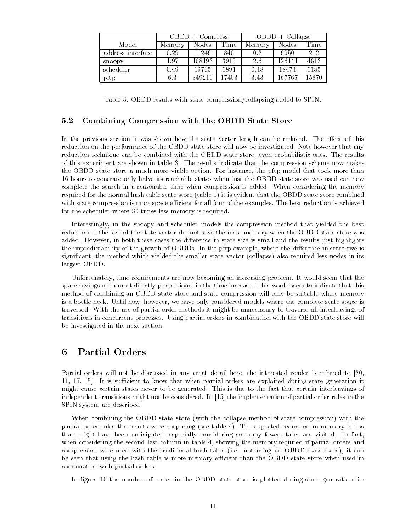|                   |        | $OBDD + Compress$ |       | $OBDD + Collapse$ |        |       |  |
|-------------------|--------|-------------------|-------|-------------------|--------|-------|--|
| Model             | Memory | Nodes             | Time  | Memory            | Nodes  | Time  |  |
| address interface | 0.29   | 11246             | 340   | 0.2               | 6950   | 212   |  |
| snoopy            | 1.97   | 108193            | 3910  | 26                | 126141 | 4613  |  |
| scheduler         | 0.49   | 19705             | 6891  | 0.48              | 18474  | 6185  |  |
| pftp              | 6.3    | 349210            | 17403 | 3.43              | 167767 | 15870 |  |

Table 3: OBDD results with state compression/collapsing added to SPIN.

#### 5.2Combining Compression with the OBDD State Store

In the previous section it was shown how the state vector length can be reduced. The effect of this reduction on the performance of the OBDD state store will now be investigated. Note however that any reduction technique can be combined with the OBDD state store, even probabilistic ones. The results of this experiment are shown in table 3. The results indicate that the compression scheme now makes the OBDD state store a much more viable option. For instance, the pftp model that took more than 16 hours to generate only halve its reachable states when just the OBDD state store was used can now complete the search in a reasonable time when compression is added. When considering the memory required for the normal hash table state store (table 1) it is evident that the OBDD state store combined with state compression is more space efficient for all four of the examples. The best reduction is achieved for the scheduler where 30 times less memory is required.

Interestingly, in the snoopy and scheduler models the compression method that yielded the best reduction in the size of the state vector did not save the most memory when the OBDD state store was added. However, in both these cases the difference in state size is small and the results just highlights the unpredictability of the growth of OBDDs. In the pftp example, where the difference in state size is signicant, the method which yielded the smaller state vector (collapse) also required less nodes in its largest OBDD.

Unfortunately, time requirements are now becoming an increasing problem. It would seem that the space savings are almost directly proportional in the time increase. This would seem to indicate that this method of combining an OBDD state store and state compression will only be suitable where memory is a bottle-neck. Until now, however, we have only considered models where the complete state space is traversed. With the use of partial order methods it might be unnecessary to traverse all interleavings of transitions in concurrent processes. Using partial orders in combination with the OBDD state store will be investigated in the next section.

#### Partial Orders 6

Partial orders will not be discussed in any great detail here, the interested reader is referred to [20, 11, 17, 15]. It is sufficient to know that when partial orders are exploited during state generation it might cause certain states never to be generated. This is due to the fact that certain interleavings of independent transitions might not be considered. In [15] the implementation of partial order rules in the SPIN system are described.

When combining the OBDD state store (with the collapse method of state compression) with the partial order rules the results were surprising (see table 4). The expected reduction in memory is less than might have been anticipated, especially considering so many fewer states are visited. In fact, when considering the second last column in table 4, showing the memory required if partial orders and compression were used with the traditional hash table (i.e. not using an OBDD state store), it can be seen that using the hash table is more memory efficient than the OBDD state store when used in combination with partial orders.

In figure 10 the number of nodes in the OBDD state store is plotted during state generation for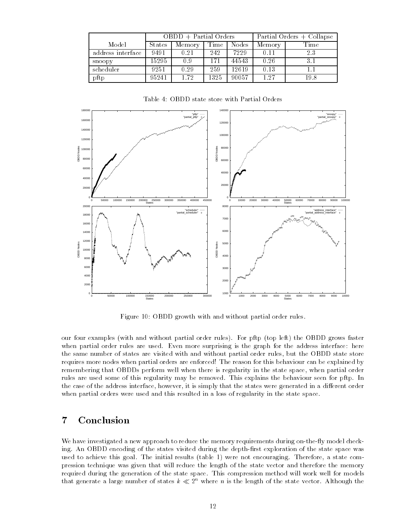|                   |        | $OBDD + Partial$ Orders |      | Partial Orders + Collapse |        |      |
|-------------------|--------|-------------------------|------|---------------------------|--------|------|
| Model             | States | Memory                  | Time | Nodes                     | Memory | Time |
| address interface | 9491   | 0.21                    | 242  | 7229                      | 0.11   | 23   |
| snoopy            | 15295  | 0.9                     | 171  | 44543                     | 0.26   |      |
| scheduler         | 9251   | 0.29                    | 259  | 12619                     | 0.13   |      |
| pftp              | 95241  | 1.72                    | 1325 | 90057                     | 1.27   | 198  |

Table 4: OBDD state store with Partial Orders



Figure 10: OBDD growth with and without partial order rules.

our four examples (with and without partial order rules). For pftp (top left) the OBDD grows faster when partial order rules are used. Even more surprising is the graph for the address interface: here the same number of states are visited with and without partial order rules, but the OBDD state store requires more nodes when partial orders are enforced! The reason for this behaviour can be explained by remembering that OBDDs perform well when there is regularity in the state space, when partial order rules are used some of this regularity may be removed. This explains the behaviour seen for pftp. In the case of the address interface, however, it is simply that the states were generated in a different order when partial orders were used and this resulted in a loss of regularity in the state space.

#### 7Conclusion

We have investigated a new approach to reduce the memory requirements during on-the-fly model checking. An OBDD encoding of the states visited during the depth-first exploration of the state space was used to achieve this goal. The initial results (table 1) were not encouraging. Therefore, a state compression technique was given that will reduce the length of the state vector and therefore the memory required during the generation of the state space. This compression method will work well for models that generate a large number of states  $k \ll 2^n$  where n is the length of the state vector. Although the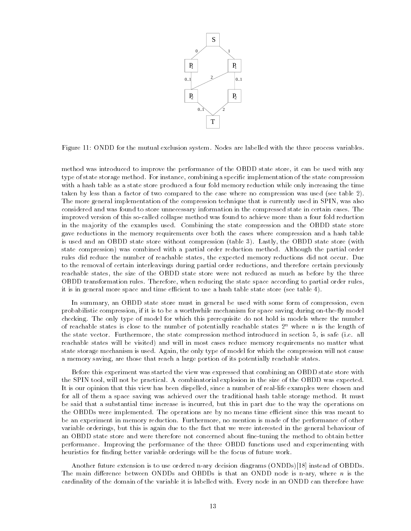

Figure 11: ONDD for the mutual exclusion system. Nodes are labelled with the three process variables.

method was introduced to improve the performance of the OBDD state store, it can be used with any type of state storage method. For instance, combining a specific implementation of the state compression with a hash table as a state store produced a four fold memory reduction while only increasing the time taken by less than a factor of two compared to the case where no compression was used (see table 2). The more general implementation of the compression technique that is currently used in SPIN, was also considered and was found to store unnecessary information in the compressed state in certain cases. The improved version of this so-called collapse method was found to achieve more than a four fold reduction in the majority of the examples used. Combining the state compression and the OBDD state store gave reductions in the memory requirements over both the cases where compression and a hash table is used and an OBDD state store without compression (table 3). Lastly, the OBDD state store (with state compression) was combined with a partial order reduction method. Although the partial order rules did reduce the number of reachable states, the expected memory reductions did not occur. Due to the removal of certain interleavings during partial order reductions, and therefore certain previously reachable states, the size of the OBDD state store were not reduced as much as before by the three OBDD transformation rules. Therefore, when reducing the state space according to partial order rules, it is in general more space and time efficient to use a hash table state store (see table 4).

In summary, an OBDD state store must in general be used with some form of compression, even probabilistic compression, if it is to be a worthwhile mechanism for space saving during on-the-fly model checking. The only type of model for which this prerequisite do not hold is models where the number of reachable states is close to the number of potentially reachable states  $2^n$  where n is the length of the state vector. Furthermore, the state compression method introduced in section 5, is safe (i.e. all reachable states will be visited) and will in most cases reduce memory requirements no matter what state storage mechanism is used. Again, the only type of model for which the compression will not cause a memory saving, are those that reach a large portion of its potentially reachable states.

Before this experiment was started the view was expressed that combining an OBDD state store with the SPIN tool, will not be practical. A combinatorial explosion in the size of the OBDD was expected. It is our opinion that this view has been dispelled, since a number of real-life examples were chosen and for all of them a space saving was achieved over the traditional hash table storage method. It must be said that a substantial time increase is incurred, but this in part due to the way the operations on the OBDDs were implemented. The operations are by no means time efficient since this was meant to be an experiment in memory reduction. Furthermore, no mention is made of the performance of other variable orderings, but this is again due to the fact that we were interested in the general behaviour of an OBDD state store and were therefore not concerned about fine-tuning the method to obtain better performance. Improving the performance of the three OBDD functions used and experimenting with heuristics for finding better variable orderings will be the focus of future work.

Another future extension is to use ordered n-ary decision diagrams (ONDDs)[18] instead of OBDDs. The main difference between ONDDs and OBDDs is that an ONDD node is n-ary, where  $n$  is the cardinality of the domain of the variable it is labelled with. Every node in an ONDD can therefore have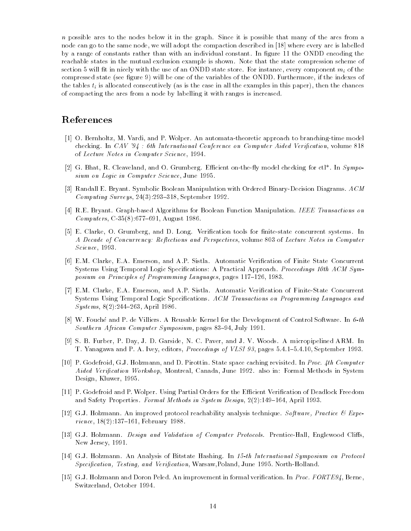n possible arcs to the nodes below it in the graph. Since it is possible that many of the arcs from a node can go to the same node, we will adopt the compaction described in [18] where every arc is labelled by a range of constants rather than with an individual constant. In figure 11 the ONDD encoding the reachable states in the mutual exclusion example is shown. Note that the state compression scheme of section 5 will fit in nicely with the use of an ONDD state store. For instance, every component  $m_i$  of the compressed state (see figure 9) will be one of the variables of the ONDD. Furthermore, if the indexes of the tables  $t_i$  is allocated consecutively (as is the case in all the examples in this paper), then the chances of compacting the arcs from a node by labelling it with ranges is increased.

## References

- [1] O. Bernholtz, M. Vardi, and P. Wolper. An automata-theoretic approach to branching-time model checking. In  $CAV$  '94 : 6th International Conference on Computer Aided Verification, volume 818 of Lecture Notes in Computer Science, 1994.
- [2] G. Bhat, R. Cleaveland, and O. Grumberg. Efficient on-the-fly model checking for  $\text{ct}$ . In Symposium on Logic in Computer Science, June 1995.
- [3] Randall E. Bryant. Symbolic Boolean Manipulation with Ordered Binary-Decision Diagrams. ACM Computing Surveys,  $24(3):293-318$ , September 1992.
- [4] R.E. Bryant. Graph-based Algorithms for Boolean Function Manipulation. IEEE Transactions on  $Computers, C-35(8):677-691, August 1986.$
- [5] E. Clarke, O. Grumberg, and D. Long. Verification tools for finite-state concurrent systems. In A Decade of Concurrency: Reflections and Perspectives, volume 803 of Lecture Notes in Computer Science, 1993.
- [6] E.M. Clarke, E.A. Emerson, and A.P. Sistla. Automatic Verification of Finite State Concurrent Systems Using Temporal Logic Specifications: A Practical Approach. Proceedings 10th ACM Symposium on Principles of Programming Languages, pages 117-126, 1983.
- [7] E.M. Clarke, E.A. Emerson, and A.P. Sistla. Automatic Verication of Finite-State Concurrent Systems Using Temporal Logic Specifications. ACM Transactions on Programming Languages and  $Systems, 8(2):244–263, April 1986.$
- [8] W. Fouché and P. de Villiers. A Reusable Kernel for the Development of Control Software. In 6-th Southern African Computer Symposium, pages 83-94, July 1991.
- [9] S. B. Furber, P. Day, J. D. Garside, N. C. Paver, and J. V. Woods. A micropipelined ARM. In T. Yanagawa and P. A. Ivey, editors, *Proceedings of VLSI 93*, pages 5.4.1-5.4.10, September 1993.
- [10] P. Godefroid, G.J. Holzmann, and D. Pirottin. State space caching revisited. In Proc. 4th Computer Aided Verification Workshop, Montreal, Canada, June 1992. also in: Formal Methods in System Design, Kluwer, 1995.
- [11] P. Godefroid and P. Wolper. Using Partial Orders for the Efficient Verification of Deadlock Freedom and Safety Properties. Formal Methods in System Design, 2(2):149-164, April 1993.
- [12] G.J. Holzmann. An improved protocol reachability analysis technique. Software, Practice  $\mathscr B$  Experience,  $18(2)$ :137-161, February 1988.
- [13] G.J. Holzmann. Design and Validation of Computer Protocols. Prentice-Hall, Englewood Cliffs, New Jersey, 1991.
- [14] G.J. Holzmann. An Analysis of Bitstate Hashing. In 15-th International Symposium on Protocol Specification, Testing, and Verification, Warsaw,Poland, June 1995. North-Holland.
- [15] G.J. Holzmann and Doron Peled. An improvement in formal verification. In Proc. FORTE94, Berne, Switzerland, October 1994.